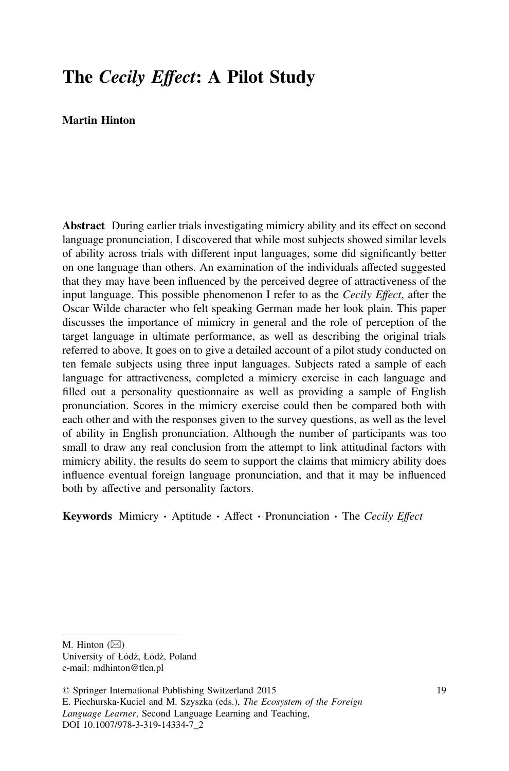# The Cecily Effect: A Pilot Study

#### Martin Hinton

Abstract During earlier trials investigating mimicry ability and its effect on second language pronunciation, I discovered that while most subjects showed similar levels of ability across trials with different input languages, some did significantly better on one language than others. An examination of the individuals affected suggested that they may have been influenced by the perceived degree of attractiveness of the input language. This possible phenomenon I refer to as the *Cecily Effect*, after the Oscar Wilde character who felt speaking German made her look plain. This paper discusses the importance of mimicry in general and the role of perception of the target language in ultimate performance, as well as describing the original trials referred to above. It goes on to give a detailed account of a pilot study conducted on ten female subjects using three input languages. Subjects rated a sample of each language for attractiveness, completed a mimicry exercise in each language and filled out a personality questionnaire as well as providing a sample of English pronunciation. Scores in the mimicry exercise could then be compared both with each other and with the responses given to the survey questions, as well as the level of ability in English pronunciation. Although the number of participants was too small to draw any real conclusion from the attempt to link attitudinal factors with mimicry ability, the results do seem to support the claims that mimicry ability does influence eventual foreign language pronunciation, and that it may be influenced both by affective and personality factors.

Keywords Mimicry  $\cdot$  Aptitude  $\cdot$  Affect  $\cdot$  Pronunciation  $\cdot$  The Cecily Effect

University of Łódź, Łódź, Poland e-mail: mdhinton@tlen.pl

© Springer International Publishing Switzerland 2015

E. Piechurska-Kuciel and M. Szyszka (eds.), The Ecosystem of the Foreign Language Learner, Second Language Learning and Teaching, DOI 10.1007/978-3-319-14334-7\_2

M. Hinton  $(\boxtimes)$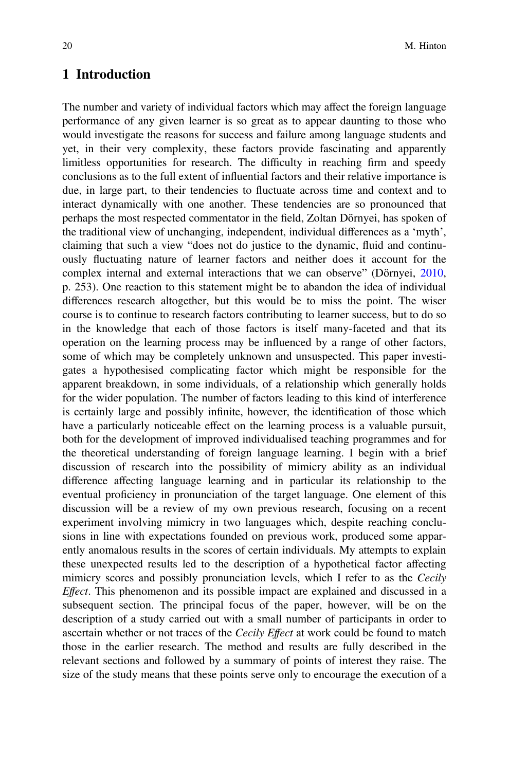# 1 Introduction

The number and variety of individual factors which may affect the foreign language performance of any given learner is so great as to appear daunting to those who would investigate the reasons for success and failure among language students and yet, in their very complexity, these factors provide fascinating and apparently limitless opportunities for research. The difficulty in reaching firm and speedy conclusions as to the full extent of influential factors and their relative importance is due, in large part, to their tendencies to fluctuate across time and context and to interact dynamically with one another. These tendencies are so pronounced that perhaps the most respected commentator in the field, Zoltan Dörnyei, has spoken of the traditional view of unchanging, independent, individual differences as a 'myth', claiming that such a view "does not do justice to the dynamic, fluid and continuously fluctuating nature of learner factors and neither does it account for the complex internal and external interactions that we can observe" (Dörnyei, [2010](#page-17-0), p. 253). One reaction to this statement might be to abandon the idea of individual differences research altogether, but this would be to miss the point. The wiser course is to continue to research factors contributing to learner success, but to do so in the knowledge that each of those factors is itself many-faceted and that its operation on the learning process may be influenced by a range of other factors, some of which may be completely unknown and unsuspected. This paper investigates a hypothesised complicating factor which might be responsible for the apparent breakdown, in some individuals, of a relationship which generally holds for the wider population. The number of factors leading to this kind of interference is certainly large and possibly infinite, however, the identification of those which have a particularly noticeable effect on the learning process is a valuable pursuit, both for the development of improved individualised teaching programmes and for the theoretical understanding of foreign language learning. I begin with a brief discussion of research into the possibility of mimicry ability as an individual difference affecting language learning and in particular its relationship to the eventual proficiency in pronunciation of the target language. One element of this discussion will be a review of my own previous research, focusing on a recent experiment involving mimicry in two languages which, despite reaching conclusions in line with expectations founded on previous work, produced some apparently anomalous results in the scores of certain individuals. My attempts to explain these unexpected results led to the description of a hypothetical factor affecting mimicry scores and possibly pronunciation levels, which I refer to as the Cecily *Effect*. This phenomenon and its possible impact are explained and discussed in a subsequent section. The principal focus of the paper, however, will be on the description of a study carried out with a small number of participants in order to ascertain whether or not traces of the *Cecily Effect* at work could be found to match those in the earlier research. The method and results are fully described in the relevant sections and followed by a summary of points of interest they raise. The size of the study means that these points serve only to encourage the execution of a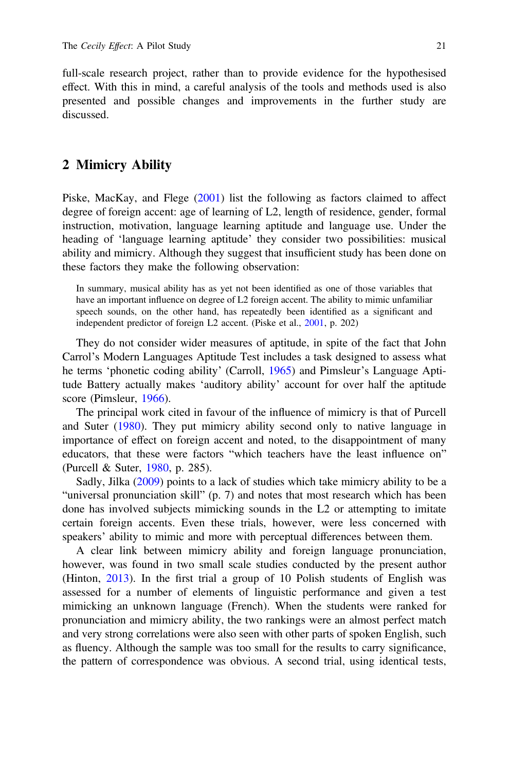<span id="page-2-0"></span>full-scale research project, rather than to provide evidence for the hypothesised effect. With this in mind, a careful analysis of the tools and methods used is also presented and possible changes and improvements in the further study are discussed.

#### 2 Mimicry Ability

Piske, MacKay, and Flege ([2001\)](#page-17-0) list the following as factors claimed to affect degree of foreign accent: age of learning of L2, length of residence, gender, formal instruction, motivation, language learning aptitude and language use. Under the heading of 'language learning aptitude' they consider two possibilities: musical ability and mimicry. Although they suggest that insufficient study has been done on these factors they make the following observation:

In summary, musical ability has as yet not been identified as one of those variables that have an important influence on degree of L2 foreign accent. The ability to mimic unfamiliar speech sounds, on the other hand, has repeatedly been identified as a significant and independent predictor of foreign L2 accent. (Piske et al., [2001](#page-17-0), p. 202)

They do not consider wider measures of aptitude, in spite of the fact that John Carrol's Modern Languages Aptitude Test includes a task designed to assess what he terms 'phonetic coding ability' (Carroll, [1965\)](#page-17-0) and Pimsleur's Language Aptitude Battery actually makes 'auditory ability' account for over half the aptitude score (Pimsleur, [1966](#page-17-0)).

The principal work cited in favour of the influence of mimicry is that of Purcell and Suter [\(1980](#page-17-0)). They put mimicry ability second only to native language in importance of effect on foreign accent and noted, to the disappointment of many educators, that these were factors "which teachers have the least influence on" (Purcell & Suter, [1980,](#page-17-0) p. 285).

Sadly, Jilka [\(2009](#page-17-0)) points to a lack of studies which take mimicry ability to be a "universal pronunciation skill" (p. 7) and notes that most research which has been done has involved subjects mimicking sounds in the L2 or attempting to imitate certain foreign accents. Even these trials, however, were less concerned with speakers' ability to mimic and more with perceptual differences between them.

A clear link between mimicry ability and foreign language pronunciation, however, was found in two small scale studies conducted by the present author (Hinton, [2013\)](#page-17-0). In the first trial a group of 10 Polish students of English was assessed for a number of elements of linguistic performance and given a test mimicking an unknown language (French). When the students were ranked for pronunciation and mimicry ability, the two rankings were an almost perfect match and very strong correlations were also seen with other parts of spoken English, such as fluency. Although the sample was too small for the results to carry significance, the pattern of correspondence was obvious. A second trial, using identical tests,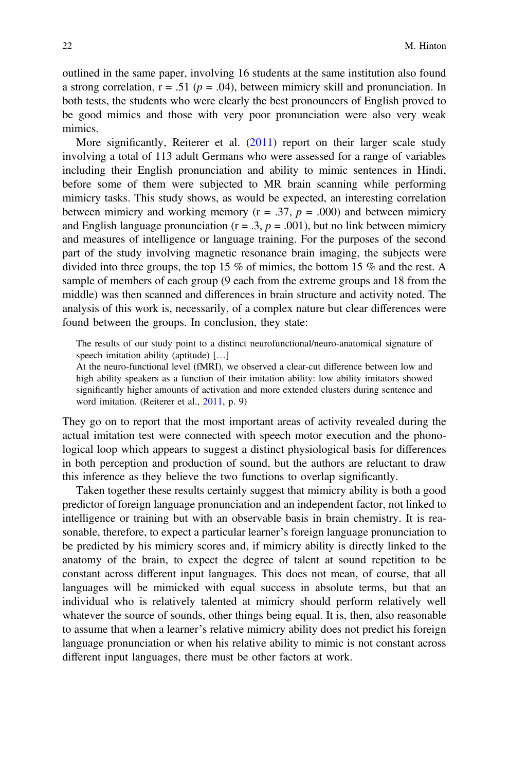outlined in the same paper, involving 16 students at the same institution also found a strong correlation,  $r = .51$  ( $p = .04$ ), between mimicry skill and pronunciation. In both tests, the students who were clearly the best pronouncers of English proved to be good mimics and those with very poor pronunciation were also very weak mimics.

More significantly, Reiterer et al. ([2011\)](#page-17-0) report on their larger scale study involving a total of 113 adult Germans who were assessed for a range of variables including their English pronunciation and ability to mimic sentences in Hindi, before some of them were subjected to MR brain scanning while performing mimicry tasks. This study shows, as would be expected, an interesting correlation between mimicry and working memory ( $r = .37$ ,  $p = .000$ ) and between mimicry and English language pronunciation ( $r = .3$ ,  $p = .001$ ), but no link between mimicry and measures of intelligence or language training. For the purposes of the second part of the study involving magnetic resonance brain imaging, the subjects were divided into three groups, the top 15 % of mimics, the bottom 15 % and the rest. A sample of members of each group (9 each from the extreme groups and 18 from the middle) was then scanned and differences in brain structure and activity noted. The analysis of this work is, necessarily, of a complex nature but clear differences were found between the groups. In conclusion, they state:

The results of our study point to a distinct neurofunctional/neuro-anatomical signature of speech imitation ability (aptitude) […]

At the neuro-functional level (fMRI), we observed a clear-cut difference between low and high ability speakers as a function of their imitation ability: low ability imitators showed significantly higher amounts of activation and more extended clusters during sentence and word imitation. (Reiterer et al., [2011](#page-17-0), p. 9)

They go on to report that the most important areas of activity revealed during the actual imitation test were connected with speech motor execution and the phonological loop which appears to suggest a distinct physiological basis for differences in both perception and production of sound, but the authors are reluctant to draw this inference as they believe the two functions to overlap significantly.

Taken together these results certainly suggest that mimicry ability is both a good predictor of foreign language pronunciation and an independent factor, not linked to intelligence or training but with an observable basis in brain chemistry. It is reasonable, therefore, to expect a particular learner's foreign language pronunciation to be predicted by his mimicry scores and, if mimicry ability is directly linked to the anatomy of the brain, to expect the degree of talent at sound repetition to be constant across different input languages. This does not mean, of course, that all languages will be mimicked with equal success in absolute terms, but that an individual who is relatively talented at mimicry should perform relatively well whatever the source of sounds, other things being equal. It is, then, also reasonable to assume that when a learner's relative mimicry ability does not predict his foreign language pronunciation or when his relative ability to mimic is not constant across different input languages, there must be other factors at work.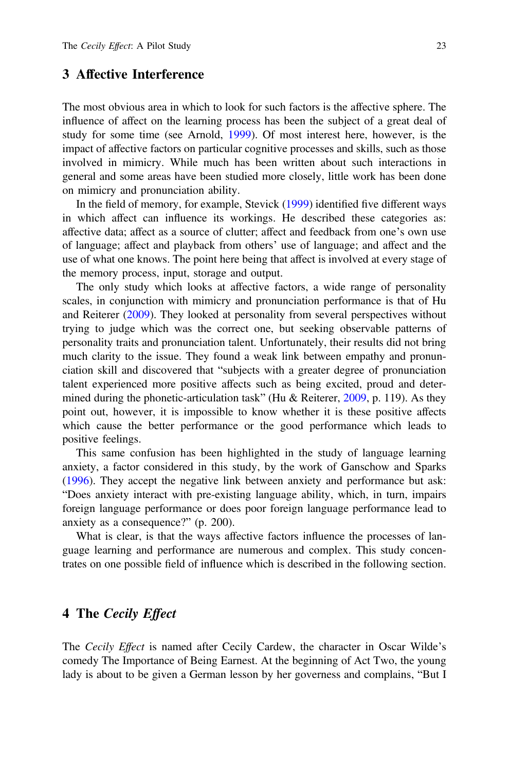## <span id="page-4-0"></span>3 Affective Interference

The most obvious area in which to look for such factors is the affective sphere. The influence of affect on the learning process has been the subject of a great deal of study for some time (see Arnold, [1999\)](#page-17-0). Of most interest here, however, is the impact of affective factors on particular cognitive processes and skills, such as those involved in mimicry. While much has been written about such interactions in general and some areas have been studied more closely, little work has been done on mimicry and pronunciation ability.

In the field of memory, for example, Stevick ([1999\)](#page-17-0) identified five different ways in which affect can influence its workings. He described these categories as: affective data; affect as a source of clutter; affect and feedback from one's own use of language; affect and playback from others' use of language; and affect and the use of what one knows. The point here being that affect is involved at every stage of the memory process, input, storage and output.

The only study which looks at affective factors, a wide range of personality scales, in conjunction with mimicry and pronunciation performance is that of Hu and Reiterer ([2009](#page-17-0)). They looked at personality from several perspectives without trying to judge which was the correct one, but seeking observable patterns of personality traits and pronunciation talent. Unfortunately, their results did not bring much clarity to the issue. They found a weak link between empathy and pronunciation skill and discovered that "subjects with a greater degree of pronunciation talent experienced more positive affects such as being excited, proud and determined during the phonetic-articulation task" (Hu & Reiterer, [2009,](#page-17-0) p. 119). As they point out, however, it is impossible to know whether it is these positive affects which cause the better performance or the good performance which leads to positive feelings.

This same confusion has been highlighted in the study of language learning anxiety, a factor considered in this study, by the work of Ganschow and Sparks [\(1996](#page-17-0)). They accept the negative link between anxiety and performance but ask: "Does anxiety interact with pre-existing language ability, which, in turn, impairs foreign language performance or does poor foreign language performance lead to anxiety as a consequence?" (p. 200).

What is clear, is that the ways affective factors influence the processes of language learning and performance are numerous and complex. This study concentrates on one possible field of influence which is described in the following section.

#### 4 The Cecily Effect

The Cecily Effect is named after Cecily Cardew, the character in Oscar Wilde's comedy The Importance of Being Earnest. At the beginning of Act Two, the young lady is about to be given a German lesson by her governess and complains, "But I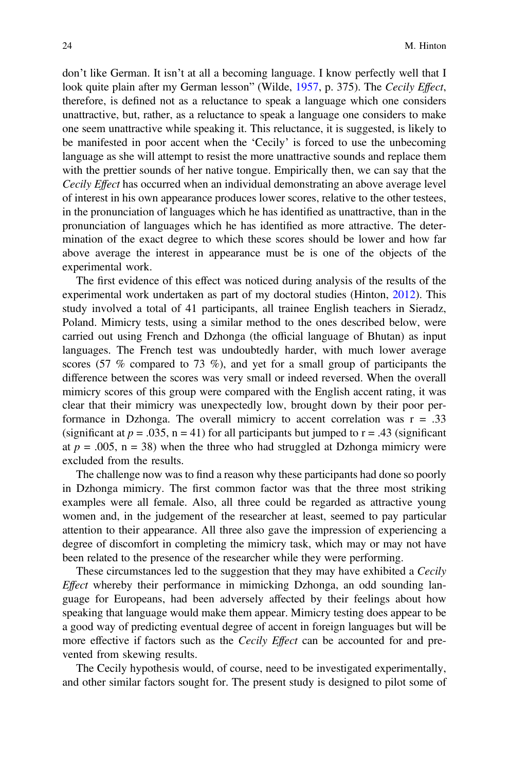don't like German. It isn't at all a becoming language. I know perfectly well that I look quite plain after my German lesson" (Wilde, [1957](#page-17-0), p. 375). The Cecily Effect, therefore, is defined not as a reluctance to speak a language which one considers unattractive, but, rather, as a reluctance to speak a language one considers to make one seem unattractive while speaking it. This reluctance, it is suggested, is likely to be manifested in poor accent when the 'Cecily' is forced to use the unbecoming language as she will attempt to resist the more unattractive sounds and replace them with the prettier sounds of her native tongue. Empirically then, we can say that the Cecily Effect has occurred when an individual demonstrating an above average level of interest in his own appearance produces lower scores, relative to the other testees, in the pronunciation of languages which he has identified as unattractive, than in the pronunciation of languages which he has identified as more attractive. The determination of the exact degree to which these scores should be lower and how far above average the interest in appearance must be is one of the objects of the experimental work.

The first evidence of this effect was noticed during analysis of the results of the experimental work undertaken as part of my doctoral studies (Hinton, [2012](#page-17-0)). This study involved a total of 41 participants, all trainee English teachers in Sieradz, Poland. Mimicry tests, using a similar method to the ones described below, were carried out using French and Dzhonga (the official language of Bhutan) as input languages. The French test was undoubtedly harder, with much lower average scores (57  $\%$  compared to 73  $\%$ ), and yet for a small group of participants the difference between the scores was very small or indeed reversed. When the overall mimicry scores of this group were compared with the English accent rating, it was clear that their mimicry was unexpectedly low, brought down by their poor performance in Dzhonga. The overall mimicry to accent correlation was  $r = .33$ (significant at  $p = .035$ ,  $n = 41$ ) for all participants but jumped to  $r = .43$  (significant at  $p = .005$ ,  $n = 38$ ) when the three who had struggled at Dzhonga mimicry were excluded from the results.

The challenge now was to find a reason why these participants had done so poorly in Dzhonga mimicry. The first common factor was that the three most striking examples were all female. Also, all three could be regarded as attractive young women and, in the judgement of the researcher at least, seemed to pay particular attention to their appearance. All three also gave the impression of experiencing a degree of discomfort in completing the mimicry task, which may or may not have been related to the presence of the researcher while they were performing.

These circumstances led to the suggestion that they may have exhibited a *Cecily* Effect whereby their performance in mimicking Dzhonga, an odd sounding language for Europeans, had been adversely affected by their feelings about how speaking that language would make them appear. Mimicry testing does appear to be a good way of predicting eventual degree of accent in foreign languages but will be more effective if factors such as the *Cecily Effect* can be accounted for and prevented from skewing results.

The Cecily hypothesis would, of course, need to be investigated experimentally, and other similar factors sought for. The present study is designed to pilot some of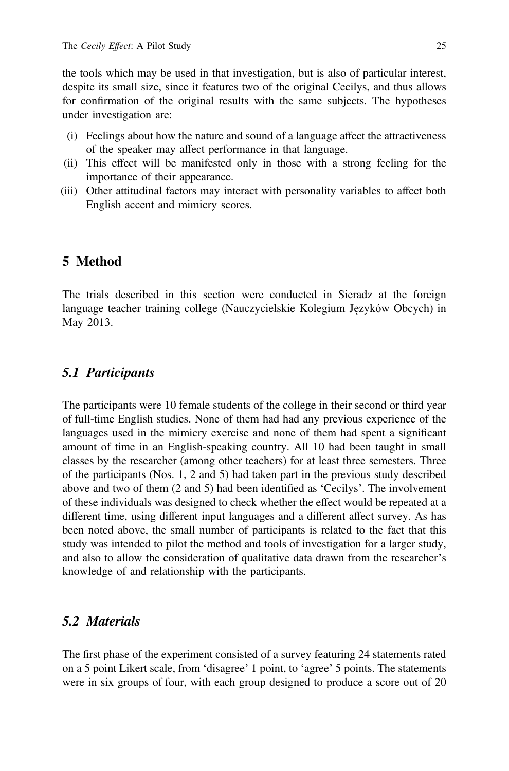<span id="page-6-0"></span>the tools which may be used in that investigation, but is also of particular interest, despite its small size, since it features two of the original Cecilys, and thus allows for confirmation of the original results with the same subjects. The hypotheses under investigation are:

- (i) Feelings about how the nature and sound of a language affect the attractiveness of the speaker may affect performance in that language.
- (ii) This effect will be manifested only in those with a strong feeling for the importance of their appearance.
- (iii) Other attitudinal factors may interact with personality variables to affect both English accent and mimicry scores.

# 5 Method

The trials described in this section were conducted in Sieradz at the foreign language teacher training college (Nauczycielskie Kolegium Języków Obcych) in May 2013.

# 5.1 Participants

The participants were 10 female students of the college in their second or third year of full-time English studies. None of them had had any previous experience of the languages used in the mimicry exercise and none of them had spent a significant amount of time in an English-speaking country. All 10 had been taught in small classes by the researcher (among other teachers) for at least three semesters. Three of the participants (Nos. 1, 2 and 5) had taken part in the previous study described above and two of them (2 and 5) had been identified as 'Cecilys'. The involvement of these individuals was designed to check whether the effect would be repeated at a different time, using different input languages and a different affect survey. As has been noted above, the small number of participants is related to the fact that this study was intended to pilot the method and tools of investigation for a larger study, and also to allow the consideration of qualitative data drawn from the researcher's knowledge of and relationship with the participants.

#### 5.2 Materials

The first phase of the experiment consisted of a survey featuring 24 statements rated on a 5 point Likert scale, from 'disagree' 1 point, to 'agree' 5 points. The statements were in six groups of four, with each group designed to produce a score out of 20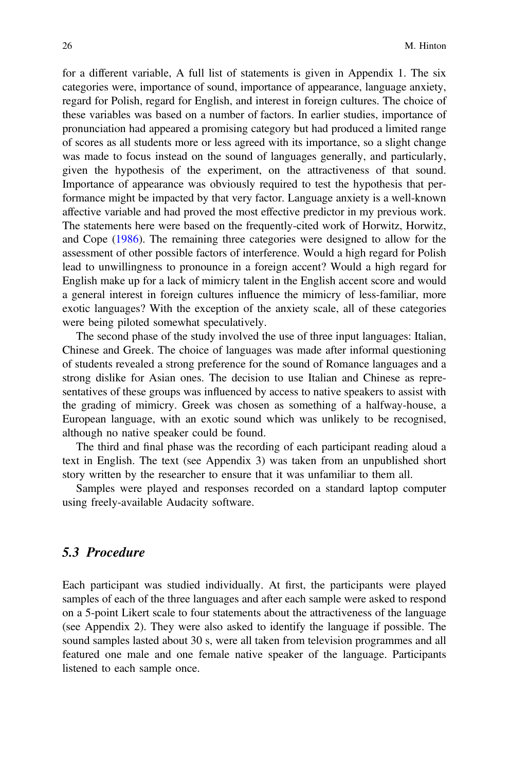for a different variable, A full list of statements is given in Appendix 1. The six categories were, importance of sound, importance of appearance, language anxiety, regard for Polish, regard for English, and interest in foreign cultures. The choice of these variables was based on a number of factors. In earlier studies, importance of pronunciation had appeared a promising category but had produced a limited range of scores as all students more or less agreed with its importance, so a slight change was made to focus instead on the sound of languages generally, and particularly, given the hypothesis of the experiment, on the attractiveness of that sound. Importance of appearance was obviously required to test the hypothesis that performance might be impacted by that very factor. Language anxiety is a well-known affective variable and had proved the most effective predictor in my previous work. The statements here were based on the frequently-cited work of Horwitz, Horwitz, and Cope ([1986\)](#page-17-0). The remaining three categories were designed to allow for the assessment of other possible factors of interference. Would a high regard for Polish lead to unwillingness to pronounce in a foreign accent? Would a high regard for English make up for a lack of mimicry talent in the English accent score and would a general interest in foreign cultures influence the mimicry of less-familiar, more exotic languages? With the exception of the anxiety scale, all of these categories were being piloted somewhat speculatively.

The second phase of the study involved the use of three input languages: Italian, Chinese and Greek. The choice of languages was made after informal questioning of students revealed a strong preference for the sound of Romance languages and a strong dislike for Asian ones. The decision to use Italian and Chinese as representatives of these groups was influenced by access to native speakers to assist with the grading of mimicry. Greek was chosen as something of a halfway-house, a European language, with an exotic sound which was unlikely to be recognised, although no native speaker could be found.

The third and final phase was the recording of each participant reading aloud a text in English. The text (see Appendix 3) was taken from an unpublished short story written by the researcher to ensure that it was unfamiliar to them all.

Samples were played and responses recorded on a standard laptop computer using freely-available Audacity software.

#### 5.3 Procedure

Each participant was studied individually. At first, the participants were played samples of each of the three languages and after each sample were asked to respond on a 5-point Likert scale to four statements about the attractiveness of the language (see Appendix 2). They were also asked to identify the language if possible. The sound samples lasted about 30 s, were all taken from television programmes and all featured one male and one female native speaker of the language. Participants listened to each sample once.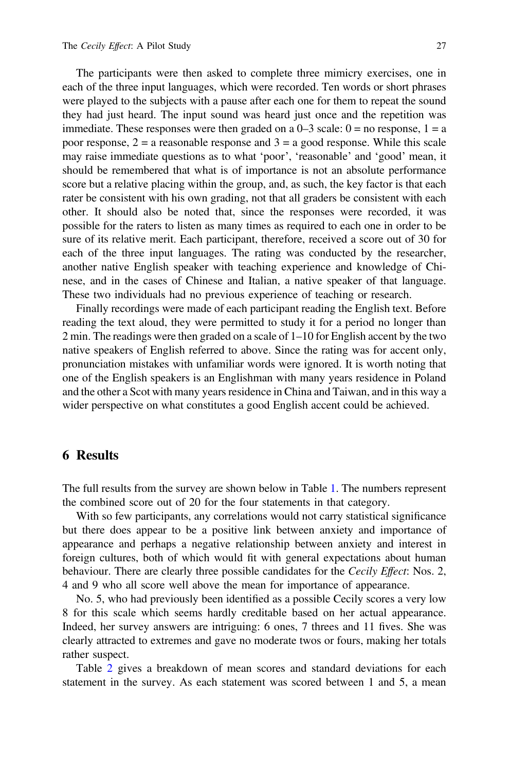<span id="page-8-0"></span>The participants were then asked to complete three mimicry exercises, one in each of the three input languages, which were recorded. Ten words or short phrases were played to the subjects with a pause after each one for them to repeat the sound they had just heard. The input sound was heard just once and the repetition was immediate. These responses were then graded on a  $0-3$  scale:  $0 =$  no response,  $1 = a$ poor response,  $2 = a$  reasonable response and  $3 = a$  good response. While this scale may raise immediate questions as to what 'poor', 'reasonable' and 'good' mean, it should be remembered that what is of importance is not an absolute performance score but a relative placing within the group, and, as such, the key factor is that each rater be consistent with his own grading, not that all graders be consistent with each other. It should also be noted that, since the responses were recorded, it was possible for the raters to listen as many times as required to each one in order to be sure of its relative merit. Each participant, therefore, received a score out of 30 for each of the three input languages. The rating was conducted by the researcher, another native English speaker with teaching experience and knowledge of Chinese, and in the cases of Chinese and Italian, a native speaker of that language. These two individuals had no previous experience of teaching or research.

Finally recordings were made of each participant reading the English text. Before reading the text aloud, they were permitted to study it for a period no longer than 2 min. The readings were then graded on a scale of 1–10 for English accent by the two native speakers of English referred to above. Since the rating was for accent only, pronunciation mistakes with unfamiliar words were ignored. It is worth noting that one of the English speakers is an Englishman with many years residence in Poland and the other a Scot with many years residence in China and Taiwan, and in this way a wider perspective on what constitutes a good English accent could be achieved.

#### 6 Results

The full results from the survey are shown below in Table [1](#page-9-0). The numbers represent the combined score out of 20 for the four statements in that category.

With so few participants, any correlations would not carry statistical significance but there does appear to be a positive link between anxiety and importance of appearance and perhaps a negative relationship between anxiety and interest in foreign cultures, both of which would fit with general expectations about human behaviour. There are clearly three possible candidates for the *Cecily Effect*: Nos. 2, 4 and 9 who all score well above the mean for importance of appearance.

No. 5, who had previously been identified as a possible Cecily scores a very low 8 for this scale which seems hardly creditable based on her actual appearance. Indeed, her survey answers are intriguing: 6 ones, 7 threes and 11 fives. She was clearly attracted to extremes and gave no moderate twos or fours, making her totals rather suspect.

Table [2](#page-9-0) gives a breakdown of mean scores and standard deviations for each statement in the survey. As each statement was scored between 1 and 5, a mean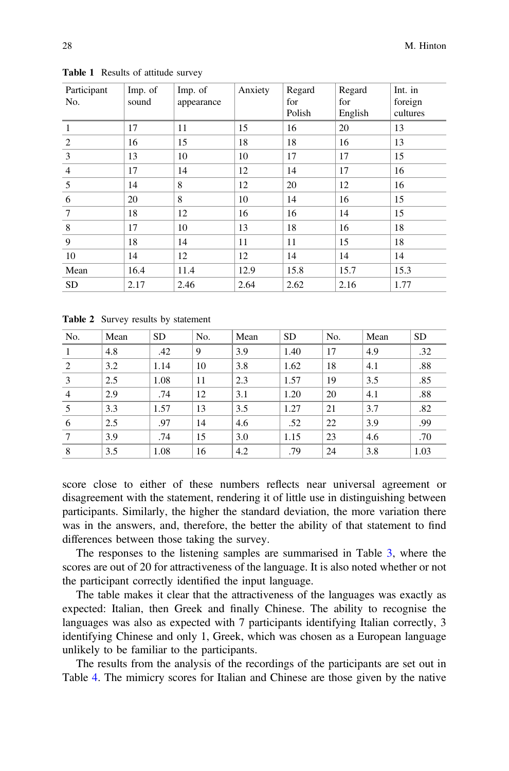| Participant<br>No. | Imp. of<br>sound | Imp. of<br>appearance | Anxiety | Regard<br>for<br>Polish | Regard<br>for<br>English | Int. in<br>foreign<br>cultures |
|--------------------|------------------|-----------------------|---------|-------------------------|--------------------------|--------------------------------|
| 1                  | 17               | 11                    | 15      | 16                      | 20                       | 13                             |
| 2                  | 16               | 15                    | 18      | 18                      | 16                       | 13                             |
| 3                  | 13               | 10                    | 10      | 17                      | 17                       | 15                             |
| $\overline{4}$     | 17               | 14                    | 12      | 14                      | 17                       | 16                             |
| 5                  | 14               | 8                     | 12      | 20                      | 12                       | 16                             |
| 6                  | 20               | 8                     | 10      | 14                      | 16                       | 15                             |
| 7                  | 18               | 12                    | 16      | 16                      | 14                       | 15                             |
| 8                  | 17               | 10                    | 13      | 18                      | 16                       | 18                             |
| 9                  | 18               | 14                    | 11      | 11                      | 15                       | 18                             |
| 10                 | 14               | 12                    | 12      | 14                      | 14                       | 14                             |
| Mean               | 16.4             | 11.4                  | 12.9    | 15.8                    | 15.7                     | 15.3                           |
| <b>SD</b>          | 2.17             | 2.46                  | 2.64    | 2.62                    | 2.16                     | 1.77                           |

<span id="page-9-0"></span>Table 1 Results of attitude survey

Table 2 Survey results by statement

| No.            | Mean | <b>SD</b> | No. | Mean | <b>SD</b> | No. | Mean | <b>SD</b> |
|----------------|------|-----------|-----|------|-----------|-----|------|-----------|
|                | 4.8  | .42       | 9   | 3.9  | 1.40      | 17  | 4.9  | .32       |
| $\overline{2}$ | 3.2  | 1.14      | 10  | 3.8  | 1.62      | 18  | 4.1  | .88       |
| 3              | 2.5  | 1.08      | 11  | 2.3  | 1.57      | 19  | 3.5  | .85       |
| $\overline{4}$ | 2.9  | .74       | 12  | 3.1  | 1.20      | 20  | 4.1  | .88       |
| 5              | 3.3  | 1.57      | 13  | 3.5  | 1.27      | 21  | 3.7  | .82       |
| 6              | 2.5  | .97       | 14  | 4.6  | .52       | 22  | 3.9  | .99       |
|                | 3.9  | .74       | 15  | 3.0  | 1.15      | 23  | 4.6  | .70       |
| 8              | 3.5  | 1.08      | 16  | 4.2  | .79       | 24  | 3.8  | 1.03      |

score close to either of these numbers reflects near universal agreement or disagreement with the statement, rendering it of little use in distinguishing between participants. Similarly, the higher the standard deviation, the more variation there was in the answers, and, therefore, the better the ability of that statement to find differences between those taking the survey.

The responses to the listening samples are summarised in Table [3](#page-10-0), where the scores are out of 20 for attractiveness of the language. It is also noted whether or not the participant correctly identified the input language.

The table makes it clear that the attractiveness of the languages was exactly as expected: Italian, then Greek and finally Chinese. The ability to recognise the languages was also as expected with 7 participants identifying Italian correctly, 3 identifying Chinese and only 1, Greek, which was chosen as a European language unlikely to be familiar to the participants.

The results from the analysis of the recordings of the participants are set out in Table [4](#page-10-0). The mimicry scores for Italian and Chinese are those given by the native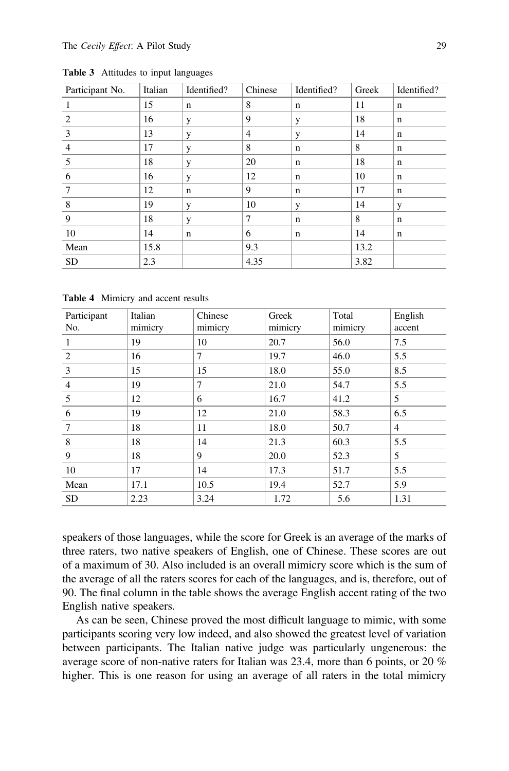| Participant No. | Italian | Identified? | Chinese | Identified? | Greek | Identified? |
|-----------------|---------|-------------|---------|-------------|-------|-------------|
| $\mathbf{1}$    | 15      | n           | 8       | n           | 11    | n           |
| 2               | 16      | y           | 9       | y           | 18    | n           |
| 3               | 13      | y           | 4       | y           | 14    | n           |
| $\overline{4}$  | 17      | y           | 8       | n           | 8     | n           |
| 5               | 18      | y           | 20      | n           | 18    | n           |
| 6               | 16      | y           | 12      | n           | 10    | n           |
| 7               | 12      | n           | 9       | n           | 17    | n           |
| 8               | 19      | y           | 10      | y           | 14    | y           |
| 9               | 18      | y           | 7       | n           | 8     | n           |
| 10              | 14      | n           | 6       | n           | 14    | n           |
| Mean            | 15.8    |             | 9.3     |             | 13.2  |             |
| <b>SD</b>       | 2.3     |             | 4.35    |             | 3.82  |             |

<span id="page-10-0"></span>Table 3 Attitudes to input languages

Table 4 Mimicry and accent results

| Participant<br>No. | Italian<br>mimicry | Chinese<br>mimicry | Greek<br>mimicry | Total<br>mimicry | English<br>accent |
|--------------------|--------------------|--------------------|------------------|------------------|-------------------|
| 1                  | 19                 | 10                 | 20.7             | 56.0             | 7.5               |
| 2                  | 16                 | 7                  | 19.7             | 46.0             | 5.5               |
| 3                  | 15                 | 15                 | 18.0             | 55.0             | 8.5               |
| $\overline{4}$     | 19                 | 7                  | 21.0             | 54.7             | 5.5               |
| 5                  | 12                 | 6                  | 16.7             | 41.2             | 5                 |
| 6                  | 19                 | 12                 | 21.0             | 58.3             | 6.5               |
| 7                  | 18                 | 11                 | 18.0             | 50.7             | $\overline{4}$    |
| 8                  | 18                 | 14                 | 21.3             | 60.3             | 5.5               |
| 9                  | 18                 | 9                  | 20.0             | 52.3             | 5                 |
| 10                 | 17                 | 14                 | 17.3             | 51.7             | 5.5               |
| Mean               | 17.1               | 10.5               | 19.4             | 52.7             | 5.9               |
| <b>SD</b>          | 2.23               | 3.24               | 1.72             | 5.6              | 1.31              |

speakers of those languages, while the score for Greek is an average of the marks of three raters, two native speakers of English, one of Chinese. These scores are out of a maximum of 30. Also included is an overall mimicry score which is the sum of the average of all the raters scores for each of the languages, and is, therefore, out of 90. The final column in the table shows the average English accent rating of the two English native speakers.

As can be seen, Chinese proved the most difficult language to mimic, with some participants scoring very low indeed, and also showed the greatest level of variation between participants. The Italian native judge was particularly ungenerous: the average score of non-native raters for Italian was 23.4, more than 6 points, or 20 % higher. This is one reason for using an average of all raters in the total mimicry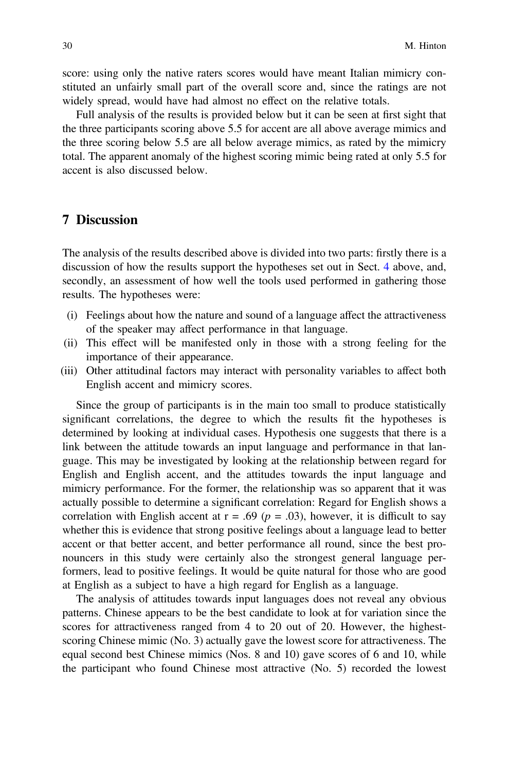score: using only the native raters scores would have meant Italian mimicry constituted an unfairly small part of the overall score and, since the ratings are not widely spread, would have had almost no effect on the relative totals.

Full analysis of the results is provided below but it can be seen at first sight that the three participants scoring above 5.5 for accent are all above average mimics and the three scoring below 5.5 are all below average mimics, as rated by the mimicry total. The apparent anomaly of the highest scoring mimic being rated at only 5.5 for accent is also discussed below.

#### 7 Discussion

The analysis of the results described above is divided into two parts: firstly there is a discussion of how the results support the hypotheses set out in Sect. [4](#page-4-0) above, and, secondly, an assessment of how well the tools used performed in gathering those results. The hypotheses were:

- (i) Feelings about how the nature and sound of a language affect the attractiveness of the speaker may affect performance in that language.
- (ii) This effect will be manifested only in those with a strong feeling for the importance of their appearance.
- (iii) Other attitudinal factors may interact with personality variables to affect both English accent and mimicry scores.

Since the group of participants is in the main too small to produce statistically significant correlations, the degree to which the results fit the hypotheses is determined by looking at individual cases. Hypothesis one suggests that there is a link between the attitude towards an input language and performance in that language. This may be investigated by looking at the relationship between regard for English and English accent, and the attitudes towards the input language and mimicry performance. For the former, the relationship was so apparent that it was actually possible to determine a significant correlation: Regard for English shows a correlation with English accent at  $r = .69$  ( $p = .03$ ), however, it is difficult to say whether this is evidence that strong positive feelings about a language lead to better accent or that better accent, and better performance all round, since the best pronouncers in this study were certainly also the strongest general language performers, lead to positive feelings. It would be quite natural for those who are good at English as a subject to have a high regard for English as a language.

The analysis of attitudes towards input languages does not reveal any obvious patterns. Chinese appears to be the best candidate to look at for variation since the scores for attractiveness ranged from 4 to 20 out of 20. However, the highestscoring Chinese mimic (No. 3) actually gave the lowest score for attractiveness. The equal second best Chinese mimics (Nos. 8 and 10) gave scores of 6 and 10, while the participant who found Chinese most attractive (No. 5) recorded the lowest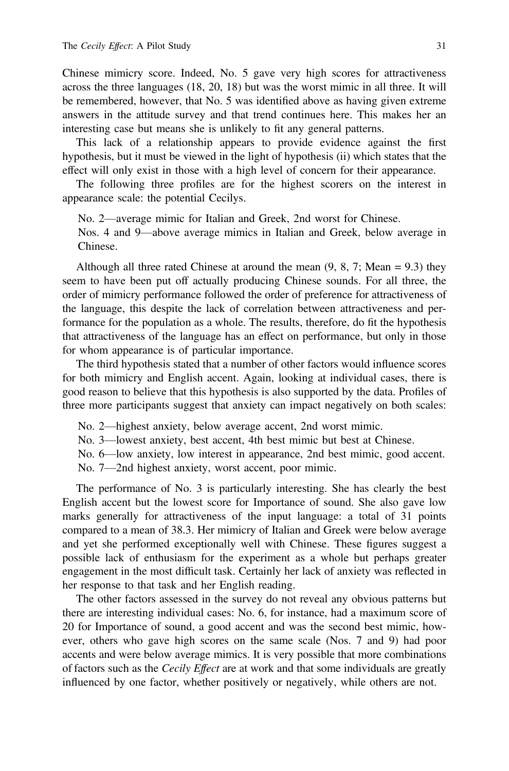Chinese mimicry score. Indeed, No. 5 gave very high scores for attractiveness across the three languages (18, 20, 18) but was the worst mimic in all three. It will be remembered, however, that No. 5 was identified above as having given extreme answers in the attitude survey and that trend continues here. This makes her an interesting case but means she is unlikely to fit any general patterns.

This lack of a relationship appears to provide evidence against the first hypothesis, but it must be viewed in the light of hypothesis (ii) which states that the effect will only exist in those with a high level of concern for their appearance.

The following three profiles are for the highest scorers on the interest in appearance scale: the potential Cecilys.

No. 2—average mimic for Italian and Greek, 2nd worst for Chinese. Nos. 4 and 9—above average mimics in Italian and Greek, below average in Chinese.

Although all three rated Chinese at around the mean  $(9, 8, 7; \text{Mean} = 9.3)$  they seem to have been put off actually producing Chinese sounds. For all three, the order of mimicry performance followed the order of preference for attractiveness of the language, this despite the lack of correlation between attractiveness and performance for the population as a whole. The results, therefore, do fit the hypothesis that attractiveness of the language has an effect on performance, but only in those for whom appearance is of particular importance.

The third hypothesis stated that a number of other factors would influence scores for both mimicry and English accent. Again, looking at individual cases, there is good reason to believe that this hypothesis is also supported by the data. Profiles of three more participants suggest that anxiety can impact negatively on both scales:

- No. 2—highest anxiety, below average accent, 2nd worst mimic.
- No. 3—lowest anxiety, best accent, 4th best mimic but best at Chinese.
- No. 6—low anxiety, low interest in appearance, 2nd best mimic, good accent.

No. 7—2nd highest anxiety, worst accent, poor mimic.

The performance of No. 3 is particularly interesting. She has clearly the best English accent but the lowest score for Importance of sound. She also gave low marks generally for attractiveness of the input language: a total of 31 points compared to a mean of 38.3. Her mimicry of Italian and Greek were below average and yet she performed exceptionally well with Chinese. These figures suggest a possible lack of enthusiasm for the experiment as a whole but perhaps greater engagement in the most difficult task. Certainly her lack of anxiety was reflected in her response to that task and her English reading.

The other factors assessed in the survey do not reveal any obvious patterns but there are interesting individual cases: No. 6, for instance, had a maximum score of 20 for Importance of sound, a good accent and was the second best mimic, however, others who gave high scores on the same scale (Nos. 7 and 9) had poor accents and were below average mimics. It is very possible that more combinations of factors such as the Cecily Effect are at work and that some individuals are greatly influenced by one factor, whether positively or negatively, while others are not.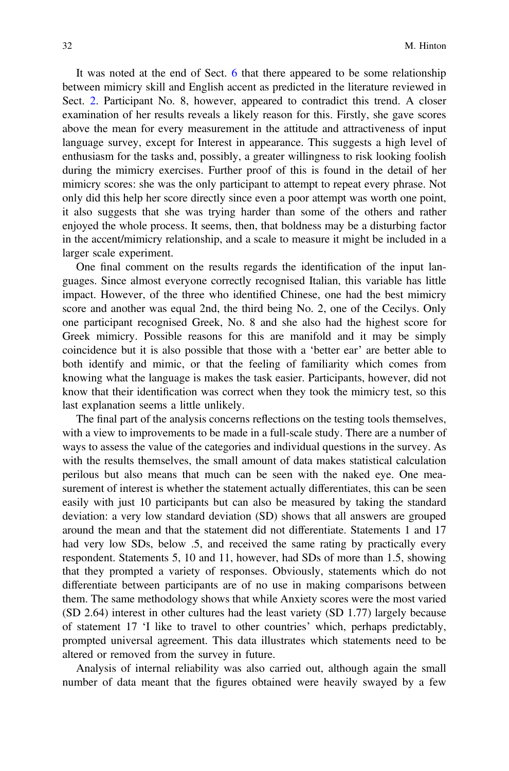It was noted at the end of Sect. [6](#page-6-0) that there appeared to be some relationship between mimicry skill and English accent as predicted in the literature reviewed in Sect. [2.](#page-2-0) Participant No. 8, however, appeared to contradict this trend. A closer examination of her results reveals a likely reason for this. Firstly, she gave scores above the mean for every measurement in the attitude and attractiveness of input language survey, except for Interest in appearance. This suggests a high level of enthusiasm for the tasks and, possibly, a greater willingness to risk looking foolish during the mimicry exercises. Further proof of this is found in the detail of her mimicry scores: she was the only participant to attempt to repeat every phrase. Not only did this help her score directly since even a poor attempt was worth one point, it also suggests that she was trying harder than some of the others and rather enjoyed the whole process. It seems, then, that boldness may be a disturbing factor in the accent/mimicry relationship, and a scale to measure it might be included in a larger scale experiment.

One final comment on the results regards the identification of the input languages. Since almost everyone correctly recognised Italian, this variable has little impact. However, of the three who identified Chinese, one had the best mimicry score and another was equal 2nd, the third being No. 2, one of the Cecilys. Only one participant recognised Greek, No. 8 and she also had the highest score for Greek mimicry. Possible reasons for this are manifold and it may be simply coincidence but it is also possible that those with a 'better ear' are better able to both identify and mimic, or that the feeling of familiarity which comes from knowing what the language is makes the task easier. Participants, however, did not know that their identification was correct when they took the mimicry test, so this last explanation seems a little unlikely.

The final part of the analysis concerns reflections on the testing tools themselves, with a view to improvements to be made in a full-scale study. There are a number of ways to assess the value of the categories and individual questions in the survey. As with the results themselves, the small amount of data makes statistical calculation perilous but also means that much can be seen with the naked eye. One measurement of interest is whether the statement actually differentiates, this can be seen easily with just 10 participants but can also be measured by taking the standard deviation: a very low standard deviation (SD) shows that all answers are grouped around the mean and that the statement did not differentiate. Statements 1 and 17 had very low SDs, below .5, and received the same rating by practically every respondent. Statements 5, 10 and 11, however, had SDs of more than 1.5, showing that they prompted a variety of responses. Obviously, statements which do not differentiate between participants are of no use in making comparisons between them. The same methodology shows that while Anxiety scores were the most varied (SD 2.64) interest in other cultures had the least variety (SD 1.77) largely because of statement 17 'I like to travel to other countries' which, perhaps predictably, prompted universal agreement. This data illustrates which statements need to be altered or removed from the survey in future.

Analysis of internal reliability was also carried out, although again the small number of data meant that the figures obtained were heavily swayed by a few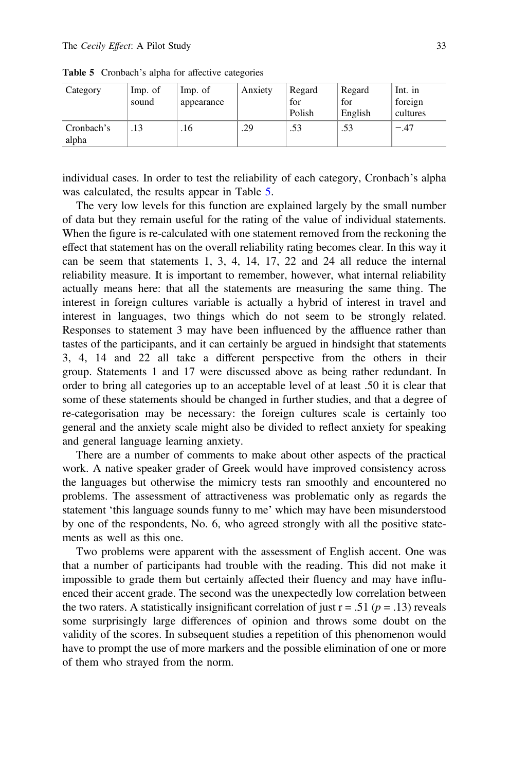| Category            | Imp. of<br>sound | Imp. of<br>appearance | Anxiety | Regard<br>for<br>Polish | Regard<br>for<br>English | Int. in<br>foreign<br>cultures |
|---------------------|------------------|-----------------------|---------|-------------------------|--------------------------|--------------------------------|
| Cronbach's<br>alpha | .13              | .16                   | .29     | .53                     | .53                      | $-.47$                         |

Table 5 Cronbach's alpha for affective categories

individual cases. In order to test the reliability of each category, Cronbach's alpha was calculated, the results appear in Table 5.

The very low levels for this function are explained largely by the small number of data but they remain useful for the rating of the value of individual statements. When the figure is re-calculated with one statement removed from the reckoning the effect that statement has on the overall reliability rating becomes clear. In this way it can be seem that statements 1, 3, 4, 14, 17, 22 and 24 all reduce the internal reliability measure. It is important to remember, however, what internal reliability actually means here: that all the statements are measuring the same thing. The interest in foreign cultures variable is actually a hybrid of interest in travel and interest in languages, two things which do not seem to be strongly related. Responses to statement 3 may have been influenced by the affluence rather than tastes of the participants, and it can certainly be argued in hindsight that statements 3, 4, 14 and 22 all take a different perspective from the others in their group. Statements 1 and 17 were discussed above as being rather redundant. In order to bring all categories up to an acceptable level of at least .50 it is clear that some of these statements should be changed in further studies, and that a degree of re-categorisation may be necessary: the foreign cultures scale is certainly too general and the anxiety scale might also be divided to reflect anxiety for speaking and general language learning anxiety.

There are a number of comments to make about other aspects of the practical work. A native speaker grader of Greek would have improved consistency across the languages but otherwise the mimicry tests ran smoothly and encountered no problems. The assessment of attractiveness was problematic only as regards the statement 'this language sounds funny to me' which may have been misunderstood by one of the respondents, No. 6, who agreed strongly with all the positive statements as well as this one.

Two problems were apparent with the assessment of English accent. One was that a number of participants had trouble with the reading. This did not make it impossible to grade them but certainly affected their fluency and may have influenced their accent grade. The second was the unexpectedly low correlation between the two raters. A statistically insignificant correlation of just  $r = .51$  ( $p = .13$ ) reveals some surprisingly large differences of opinion and throws some doubt on the validity of the scores. In subsequent studies a repetition of this phenomenon would have to prompt the use of more markers and the possible elimination of one or more of them who strayed from the norm.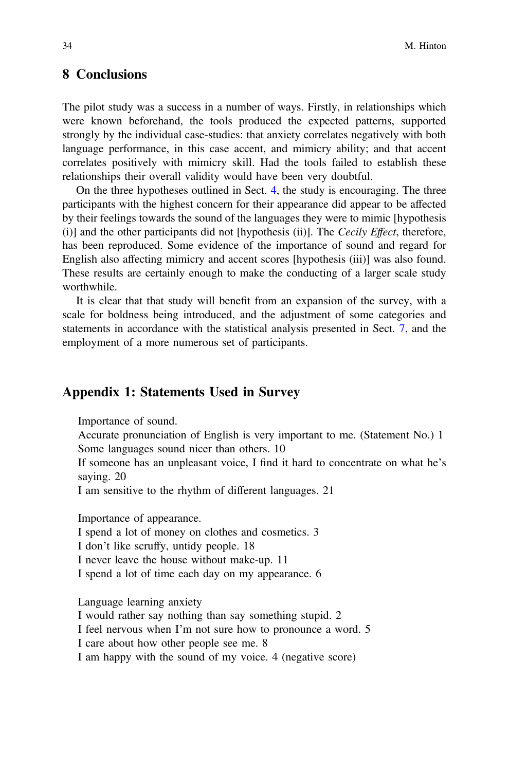## 8 Conclusions

The pilot study was a success in a number of ways. Firstly, in relationships which were known beforehand, the tools produced the expected patterns, supported strongly by the individual case-studies: that anxiety correlates negatively with both language performance, in this case accent, and mimicry ability; and that accent correlates positively with mimicry skill. Had the tools failed to establish these relationships their overall validity would have been very doubtful.

On the three hypotheses outlined in Sect. [4,](#page-4-0) the study is encouraging. The three participants with the highest concern for their appearance did appear to be affected by their feelings towards the sound of the languages they were to mimic [hypothesis (i)] and the other participants did not [hypothesis (ii)]. The Cecily Effect, therefore, has been reproduced. Some evidence of the importance of sound and regard for English also affecting mimicry and accent scores [hypothesis (iii)] was also found. These results are certainly enough to make the conducting of a larger scale study worthwhile.

It is clear that that study will benefit from an expansion of the survey, with a scale for boldness being introduced, and the adjustment of some categories and statements in accordance with the statistical analysis presented in Sect. [7,](#page-8-0) and the employment of a more numerous set of participants.

# Appendix 1: Statements Used in Survey

Importance of sound.

Accurate pronunciation of English is very important to me. (Statement No.) 1 Some languages sound nicer than others. 10

If someone has an unpleasant voice, I find it hard to concentrate on what he's saying. 20

I am sensitive to the rhythm of different languages. 21

Importance of appearance.

I spend a lot of money on clothes and cosmetics. 3

I don't like scruffy, untidy people. 18

I never leave the house without make-up. 11

I spend a lot of time each day on my appearance. 6

Language learning anxiety

I would rather say nothing than say something stupid. 2

I feel nervous when I'm not sure how to pronounce a word. 5

I care about how other people see me. 8

I am happy with the sound of my voice. 4 (negative score)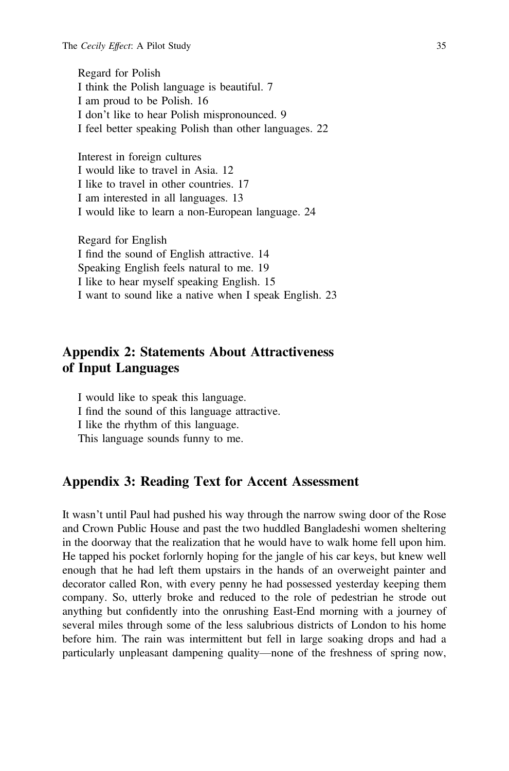Regard for Polish I think the Polish language is beautiful. 7 I am proud to be Polish. 16 I don't like to hear Polish mispronounced. 9 I feel better speaking Polish than other languages. 22

Interest in foreign cultures I would like to travel in Asia. 12 I like to travel in other countries. 17 I am interested in all languages. 13 I would like to learn a non-European language. 24

Regard for English I find the sound of English attractive. 14 Speaking English feels natural to me. 19 I like to hear myself speaking English. 15 I want to sound like a native when I speak English. 23

# Appendix 2: Statements About Attractiveness of Input Languages

I would like to speak this language. I find the sound of this language attractive. I like the rhythm of this language. This language sounds funny to me.

#### Appendix 3: Reading Text for Accent Assessment

It wasn't until Paul had pushed his way through the narrow swing door of the Rose and Crown Public House and past the two huddled Bangladeshi women sheltering in the doorway that the realization that he would have to walk home fell upon him. He tapped his pocket forlornly hoping for the jangle of his car keys, but knew well enough that he had left them upstairs in the hands of an overweight painter and decorator called Ron, with every penny he had possessed yesterday keeping them company. So, utterly broke and reduced to the role of pedestrian he strode out anything but confidently into the onrushing East-End morning with a journey of several miles through some of the less salubrious districts of London to his home before him. The rain was intermittent but fell in large soaking drops and had a particularly unpleasant dampening quality—none of the freshness of spring now,